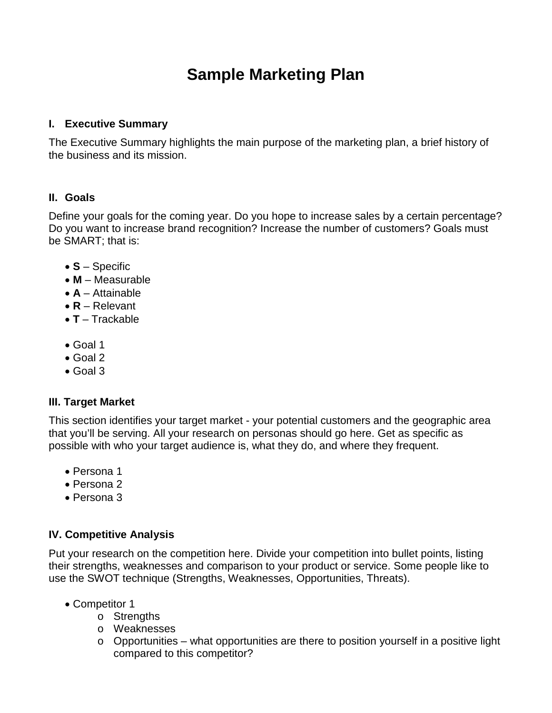# **Sample Marketing Plan**

#### **I. Executive Summary**

The Executive Summary highlights the main purpose of the marketing plan, a brief history of the business and its mission.

# **II. Goals**

Define your goals for the coming year. Do you hope to increase sales by a certain percentage? Do you want to increase brand recognition? Increase the number of customers? Goals must be SMART; that is:

- **S**  Specific
- **M**  Measurable
- **A**  Attainable
- **R**  Relevant
- **T**  Trackable
- Goal 1
- Goal 2
- Goal 3

## **III. Target Market**

This section identifies your target market - your potential customers and the geographic area that you'll be serving. All your research on personas should go here. Get as specific as possible with who your target audience is, what they do, and where they frequent.

- Persona 1
- Persona 2
- Persona 3

# **IV. Competitive Analysis**

Put your research on the competition here. Divide your competition into bullet points, listing their strengths, weaknesses and comparison to your product or service. Some people like to use the SWOT technique (Strengths, Weaknesses, Opportunities, Threats).

- Competitor 1
	- o Strengths
	- o Weaknesses
	- $\circ$  Opportunities what opportunities are there to position yourself in a positive light compared to this competitor?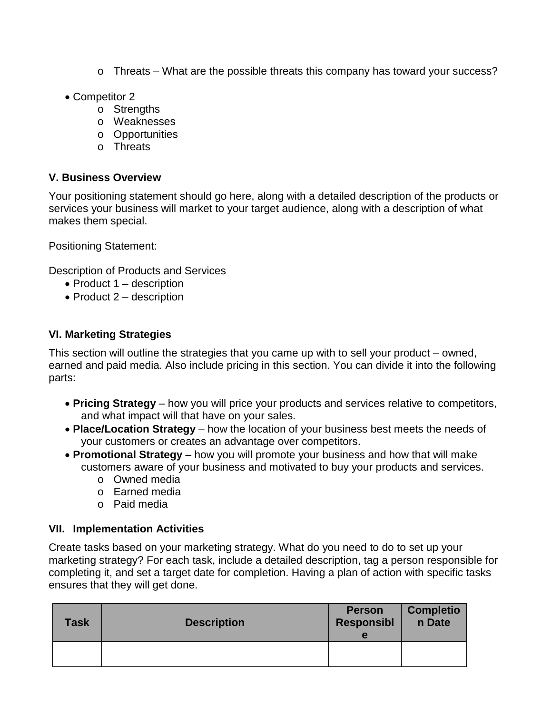- $\circ$  Threats What are the possible threats this company has toward your success?
- Competitor 2
	- o Strengths
	- o Weaknesses
	- o Opportunities
	- o Threats

#### **V. Business Overview**

Your positioning statement should go here, along with a detailed description of the products or services your business will market to your target audience, along with a description of what makes them special.

Positioning Statement:

Description of Products and Services

- Product 1 description
- Product 2 description

#### **VI. Marketing Strategies**

This section will outline the strategies that you came up with to sell your product – owned, earned and paid media. Also include pricing in this section. You can divide it into the following parts:

- **Pricing Strategy** how you will price your products and services relative to competitors, and what impact will that have on your sales.
- **Place/Location Strategy** how the location of your business best meets the needs of your customers or creates an advantage over competitors.
- **Promotional Strategy** how you will promote your business and how that will make customers aware of your business and motivated to buy your products and services.
	- o Owned media
	- o Earned media
	- o Paid media

## **VII. Implementation Activities**

Create tasks based on your marketing strategy. What do you need to do to set up your marketing strategy? For each task, include a detailed description, tag a person responsible for completing it, and set a target date for completion. Having a plan of action with specific tasks ensures that they will get done.

| <b>Task</b> | <b>Description</b> | <b>Person</b><br><b>Responsibl</b><br>е | <b>Completio</b><br>n Date |
|-------------|--------------------|-----------------------------------------|----------------------------|
|             |                    |                                         |                            |